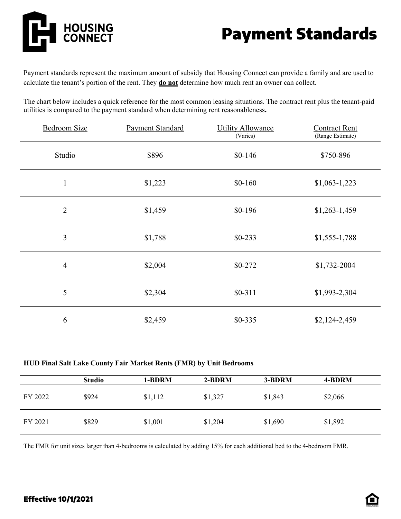

## Payment Standards

Payment standards represent the maximum amount of subsidy that Housing Connect can provide a family and are used to calculate the tenant's portion of the rent. They **do not** determine how much rent an owner can collect.

The chart below includes a quick reference for the most common leasing situations. The contract rent plus the tenant-paid utilities is compared to the payment standard when determining rent reasonableness**.**

| <b>Bedroom Size</b> | <b>Payment Standard</b> | <b>Utility Allowance</b><br>(Varies) | <b>Contract Rent</b><br>(Range Estimate) |
|---------------------|-------------------------|--------------------------------------|------------------------------------------|
| Studio              | \$896                   | $$0-146$                             | \$750-896                                |
| $\mathbf{1}$        | \$1,223                 | $$0-160$                             | $$1,063-1,223$                           |
| $\overline{2}$      | \$1,459                 | $$0-196$                             | $$1,263-1,459$                           |
| 3                   | \$1,788                 | $$0-233$                             | $$1,555-1,788$                           |
| $\overline{4}$      | \$2,004                 | $$0-272$                             | \$1,732-2004                             |
| 5                   | \$2,304                 | $$0-311$                             | \$1,993-2,304                            |
| 6                   | \$2,459                 | $$0-335$                             | $$2,124-2,459$                           |

## **HUD Final Salt Lake County Fair Market Rents (FMR) by Unit Bedrooms**

|         | <b>Studio</b> | 1-BDRM  | 2-BDRM  | 3-BDRM  | 4-BDRM  |
|---------|---------------|---------|---------|---------|---------|
| FY 2022 | \$924         | \$1,112 | \$1,327 | \$1,843 | \$2,066 |
| FY 2021 | \$829         | \$1,001 | \$1,204 | \$1,690 | \$1,892 |

The FMR for unit sizes larger than 4-bedrooms is calculated by adding 15% for each additional bed to the 4-bedroom FMR.